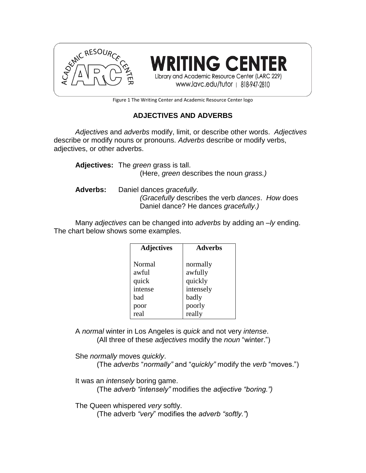

**TING CENTER** Library and Academic Resource Center (LARC 229) www.lavc.edu/tutor | 818-947-2810

Figure 1 The Writing Center and Academic Resource Center logo

# **ADJECTIVES AND ADVERBS**

*Adjectives* and *adverbs* modify, limit, or describe other words. *Adjectives*  describe or modify nouns or pronouns. *Adverbs* describe or modify verbs, adjectives, or other adverbs.

**Adjectives:** The *green* grass is tall. (Here, *green* describes the noun *grass.)*

**Adverbs:** Daniel dances *gracefully*. *(Gracefully* describes the verb *dances*. *How* does Daniel dance? He dances *gracefully.)*

Many *adjectives* can be changed into *adverbs* by adding an *–ly* ending. The chart below shows some examples.

| <b>Adjectives</b> | <b>Adverbs</b> |
|-------------------|----------------|
| Normal            | normally       |
| awful             | awfully        |
| quick             | quickly        |
| intense           | intensely      |
| bad               | badly          |
| poor              | poorly         |
| real              | really         |

A *normal* winter in Los Angeles is *quick* and not very *intense*. (All three of these *adjectives* modify the *noun* "winter.")

She *normally* moves *quickly*.

(The *adverbs* "*normally"* and "*quickly"* modify the *verb* "moves.")

It was an *intensely* boring game.

(The *adverb "intensely"* modifies the *adjective "boring.")*

The Queen whispered *very* softly.

(The adverb *"very*" modifies the *adverb "softly."*)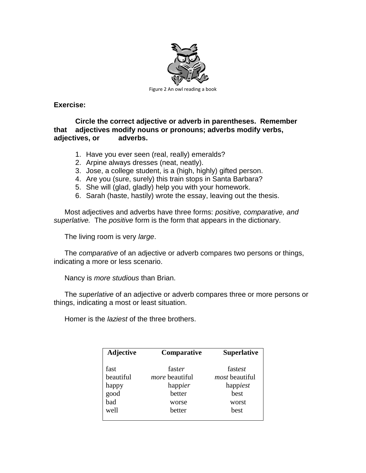

## **Exercise:**

**Circle the correct adjective or adverb in parentheses. Remember that adjectives modify nouns or pronouns; adverbs modify verbs, adjectives, or adverbs.**

- 1. Have you ever seen (real, really) emeralds?
- 2. Arpine always dresses (neat, neatly).
- 3. Jose, a college student, is a (high, highly) gifted person.
- 4. Are you (sure, surely) this train stops in Santa Barbara?
- 5. She will (glad, gladly) help you with your homework.
- 6. Sarah (haste, hastily) wrote the essay, leaving out the thesis.

Most adjectives and adverbs have three forms: *positive, comparative, and superlative.* The *positive* form is the form that appears in the dictionary.

The living room is very *large*.

The *comparative* of an adjective or adverb compares two persons or things, indicating a more or less scenario.

Nancy is *more studious* than Brian.

The *superlative* of an adjective or adverb compares three or more persons or things, indicating a most or least situation.

Homer is the *laziest* of the three brothers.

| <b>Adjective</b> | Comparative           | <b>Superlative</b>    |
|------------------|-----------------------|-----------------------|
| fast             | faster                | fastest               |
| beautiful        | <i>more</i> beautiful | <i>most</i> beautiful |
| happy            | happier               | happiest              |
| good             | better                | best                  |
| bad              | worse                 | worst                 |
| well             | better                | hest                  |
|                  |                       |                       |